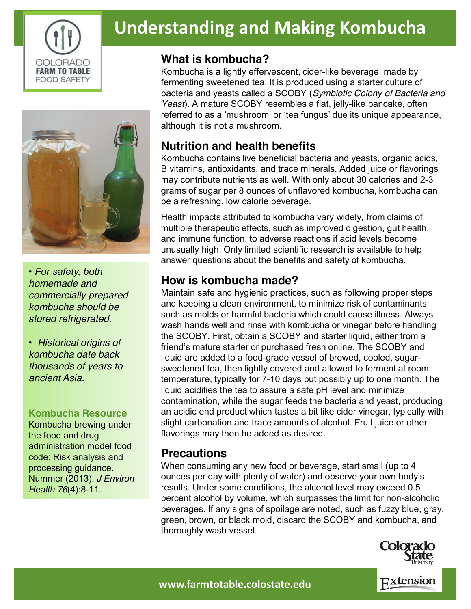

# **Understanding and Making Kombucha**

### **What is kombucha?**

Kombucha is a lightly effervescent, cider-like beverage, made by fermenting sweetened tea. It is produced using a starter culture of bacteria and yeasts called a SCOBY (*Symbiotic Colony of Bacteria and Yeast*). A mature SCOBY resembles a flat, jelly-like pancake, often referred to as a 'mushroom' or 'tea fungus' due its unique appearance, although it is not a mushroom.

## **Nutrition and health benefits**

Kombucha contains live beneficial bacteria and yeasts, organic acids, B vitamins, antioxidants, and trace minerals. Added juice or flavorings may contribute nutrients as well. With only about 30 calories and 2-3 grams of sugar per 8 ounces of unflavored kombucha, kombucha can be a refreshing, low calorie beverage.

Health impacts attributed to kombucha vary widely, from claims of multiple therapeutic effects, such as improved digestion, gut health, and immune function, to adverse reactions if acid levels become unusually high. Only limited scientific research is available to help answer questions about the benefits and safety of kombucha.

## **How is kombucha made?**

Maintain safe and hygienic practices, such as following proper steps and keeping a clean environment, to minimize risk of contaminants such as molds or harmful bacteria which could cause illness. Always wash hands well and rinse with kombucha or vinegar before handling the SCOBY. First, obtain a SCOBY and starter liquid, either from a friend's mature starter or purchased fresh online. The SCOBY and liquid are added to a food-grade vessel of brewed, cooled, sugarsweetened tea, then lightly covered and allowed to ferment at room temperature, typically for 7-10 days but possibly up to one month. The liquid acidifies the tea to assure a safe pH level and minimize contamination, while the sugar feeds the bacteria and yeast, producing an acidic end product which tastes a bit like cider vinegar, typically with slight carbonation and trace amounts of alcohol. Fruit juice or other flavorings may then be added as desired.

### **Precautions**

When consuming any new food or beverage, start small (up to 4 ounces per day with plenty of water) and observe your own body's results. Under some conditions, the alcohol level may exceed 0.5 percent alcohol by volume, which surpasses the limit for non-alcoholic beverages. If any signs of spoilage are noted, such as fuzzy blue, gray, green, brown, or black mold, discard the SCOBY and kombucha, and thoroughly wash vessel.



Extension

*• For safety, both homemade and commercially prepared kombucha should be stored refrigerated.*

*• Historical origins of kombucha date back thousands of years to ancient Asia.*

#### **Kombucha Resource**

Kombucha brewing under the food and drug administration model food code: Risk analysis and processing guidance. Nummer (2013). *J Environ Health 76*(4):8-11.

**www.farmtotable.colostate.edu**